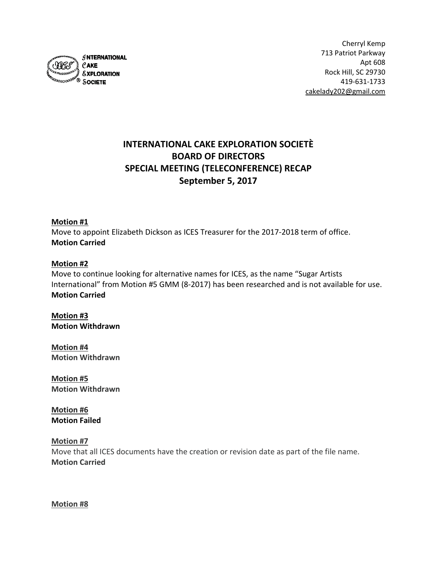

# **INTERNATIONAL CAKE EXPLORATION SOCIETÈ BOARD OF DIRECTORS SPECIAL MEETING (TELECONFERENCE) RECAP September 5, 2017**

#### **Motion #1**

Move to appoint Elizabeth Dickson as ICES Treasurer for the 2017-2018 term of office. **Motion Carried**

#### **Motion #2**

Move to continue looking for alternative names for ICES, as the name "Sugar Artists International" from Motion #5 GMM (8-2017) has been researched and is not available for use. **Motion Carried**

**Motion #3 Motion Withdrawn**

**Motion #4 Motion Withdrawn**

**Motion #5 Motion Withdrawn**

**Motion #6 Motion Failed**

**Motion #7**

Move that all ICES documents have the creation or revision date as part of the file name. **Motion Carried**

**Motion #8**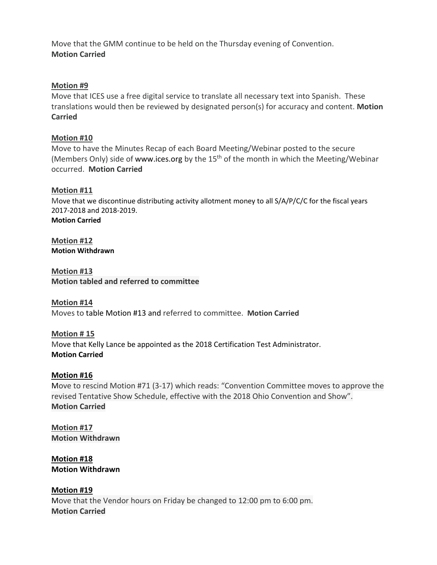Move that the GMM continue to be held on the Thursday evening of Convention. **Motion Carried**

## **Motion #9**

Move that ICES use a free digital service to translate all necessary text into Spanish. These translations would then be reviewed by designated person(s) for accuracy and content. **Motion Carried**

## **Motion #10**

Move to have the Minutes Recap of each Board Meeting/Webinar posted to the secure (Members Only) side of [www.ices.org](http://www.ices.org/) by the 15<sup>th</sup> of the month in which the Meeting/Webinar occurred. **Motion Carried**

# **Motion #11**

Move that we discontinue distributing activity allotment money to all S/A/P/C/C for the fiscal years 2017-2018 and 2018-2019. **Motion Carried**

**Motion #12 Motion Withdrawn**

**Motion #13 Motion tabled and referred to committee**

**Motion #14** Moves to table Motion #13 and referred to committee. **Motion Carried**

**Motion # 15** Move that Kelly Lance be appointed as the 2018 Certification Test Administrator. **Motion Carried**

#### **Motion #16**

Move to rescind Motion #71 (3-17) which reads: "Convention Committee moves to approve the revised Tentative Show Schedule, effective with the 2018 Ohio Convention and Show". **Motion Carried**

**Motion #17 Motion Withdrawn**

**Motion #18 Motion Withdrawn**

**Motion #19** Move that the Vendor hours on Friday be changed to 12:00 pm to 6:00 pm. **Motion Carried**